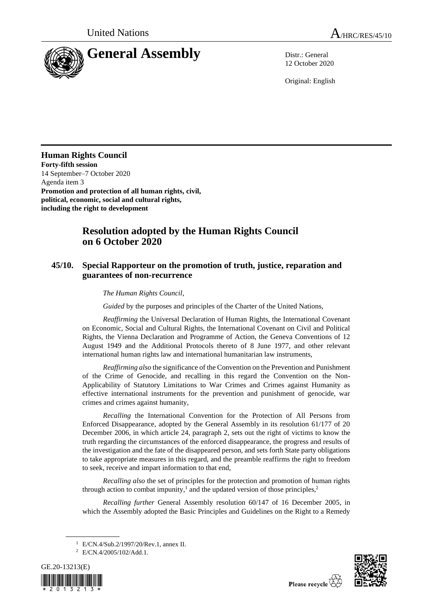

12 October 2020

Original: English

## **Human Rights Council**

**Forty-fifth session** 14 September–7 October 2020 Agenda item 3 **Promotion and protection of all human rights, civil, political, economic, social and cultural rights, including the right to development**

## **Resolution adopted by the Human Rights Council on 6 October 2020**

## **45/10. Special Rapporteur on the promotion of truth, justice, reparation and guarantees of non-recurrence**

*The Human Rights Council*,

*Guided* by the purposes and principles of the Charter of the United Nations,

*Reaffirming* the Universal Declaration of Human Rights, the International Covenant on Economic, Social and Cultural Rights, the International Covenant on Civil and Political Rights, the Vienna Declaration and Programme of Action, the Geneva Conventions of 12 August 1949 and the Additional Protocols thereto of 8 June 1977, and other relevant international human rights law and international humanitarian law instruments,

*Reaffirming also* the significance of the Convention on the Prevention and Punishment of the Crime of Genocide, and recalling in this regard the Convention on the Non-Applicability of Statutory Limitations to War Crimes and Crimes against Humanity as effective international instruments for the prevention and punishment of genocide, war crimes and crimes against humanity,

*Recalling* the International Convention for the Protection of All Persons from Enforced Disappearance, adopted by the General Assembly in its resolution 61/177 of 20 December 2006, in which article 24, paragraph 2, sets out the right of victims to know the truth regarding the circumstances of the enforced disappearance, the progress and results of the investigation and the fate of the disappeared person, and sets forth State party obligations to take appropriate measures in this regard, and the preamble reaffirms the right to freedom to seek, receive and impart information to that end,

*Recalling also* the set of principles for the protection and promotion of human rights through action to combat impunity,<sup>1</sup> and the updated version of those principles,<sup>2</sup>

*Recalling further* General Assembly resolution 60/147 of 16 December 2005, in which the Assembly adopted the Basic Principles and Guidelines on the Right to a Remedy

<sup>2</sup> E/CN.4/2005/102/Add.1.





<sup>1</sup> E/CN.4/Sub.2/1997/20/Rev.1, annex II.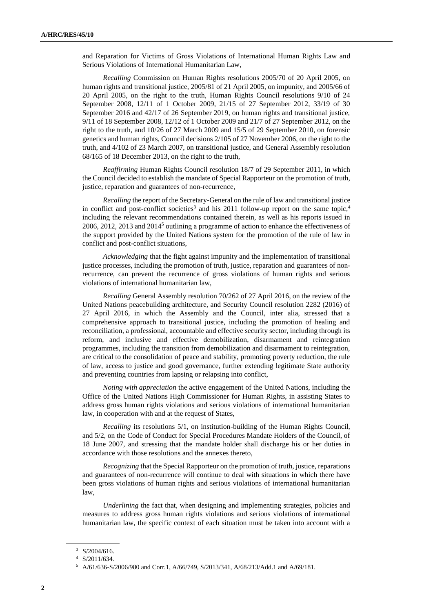and Reparation for Victims of Gross Violations of International Human Rights Law and Serious Violations of International Humanitarian Law,

*Recalling* Commission on Human Rights resolutions 2005/70 of 20 April 2005, on human rights and transitional justice, 2005/81 of 21 April 2005, on impunity, and 2005/66 of 20 April 2005, on the right to the truth, Human Rights Council resolutions 9/10 of 24 September 2008, 12/11 of 1 October 2009, 21/15 of 27 September 2012, 33/19 of 30 September 2016 and 42/17 of 26 September 2019, on human rights and transitional justice, 9/11 of 18 September 2008, 12/12 of 1 October 2009 and 21/7 of 27 September 2012, on the right to the truth, and 10/26 of 27 March 2009 and 15/5 of 29 September 2010, on forensic genetics and human rights, Council decisions 2/105 of 27 November 2006, on the right to the truth, and 4/102 of 23 March 2007, on transitional justice, and General Assembly resolution 68/165 of 18 December 2013, on the right to the truth,

*Reaffirming* Human Rights Council resolution 18/7 of 29 September 2011, in which the Council decided to establish the mandate of Special Rapporteur on the promotion of truth, justice, reparation and guarantees of non-recurrence,

*Recalling* the report of the Secretary-General on the rule of law and transitional justice in conflict and post-conflict societies<sup>3</sup> and his 2011 follow-up report on the same topic,<sup>4</sup> including the relevant recommendations contained therein, as well as his reports issued in 2006, 2012, 2013 and  $2014<sup>5</sup>$  outlining a programme of action to enhance the effectiveness of the support provided by the United Nations system for the promotion of the rule of law in conflict and post-conflict situations,

*Acknowledging* that the fight against impunity and the implementation of transitional justice processes, including the promotion of truth, justice, reparation and guarantees of nonrecurrence, can prevent the recurrence of gross violations of human rights and serious violations of international humanitarian law,

*Recalling* General Assembly resolution 70/262 of 27 April 2016, on the review of the United Nations peacebuilding architecture, and Security Council resolution 2282 (2016) of 27 April 2016, in which the Assembly and the Council, inter alia, stressed that a comprehensive approach to transitional justice, including the promotion of healing and reconciliation, a professional, accountable and effective security sector, including through its reform, and inclusive and effective demobilization, disarmament and reintegration programmes, including the transition from demobilization and disarmament to reintegration, are critical to the consolidation of peace and stability, promoting poverty reduction, the rule of law, access to justice and good governance, further extending legitimate State authority and preventing countries from lapsing or relapsing into conflict,

*Noting with appreciation* the active engagement of the United Nations, including the Office of the United Nations High Commissioner for Human Rights, in assisting States to address gross human rights violations and serious violations of international humanitarian law, in cooperation with and at the request of States,

*Recalling* its resolutions 5/1, on institution-building of the Human Rights Council, and 5/2, on the Code of Conduct for Special Procedures Mandate Holders of the Council, of 18 June 2007, and stressing that the mandate holder shall discharge his or her duties in accordance with those resolutions and the annexes thereto,

*Recognizing* that the Special Rapporteur on the promotion of truth, justice, reparations and guarantees of non-recurrence will continue to deal with situations in which there have been gross violations of human rights and serious violations of international humanitarian law,

*Underlining* the fact that, when designing and implementing strategies, policies and measures to address gross human rights violations and serious violations of international humanitarian law, the specific context of each situation must be taken into account with a

<sup>3</sup> S/2004/616.

<sup>4</sup> S/2011/634.

<sup>5</sup> A/61/636-S/2006/980 and Corr.1, A/66/749, S/2013/341, A/68/213/Add.1 and A/69/181.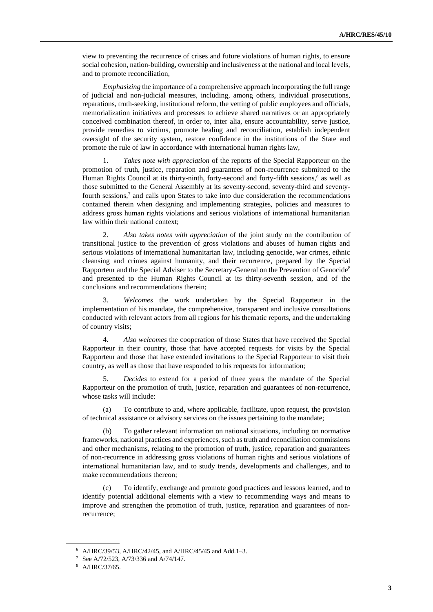view to preventing the recurrence of crises and future violations of human rights, to ensure social cohesion, nation-building, ownership and inclusiveness at the national and local levels, and to promote reconciliation,

*Emphasizing* the importance of a comprehensive approach incorporating the full range of judicial and non-judicial measures, including, among others, individual prosecutions, reparations, truth-seeking, institutional reform, the vetting of public employees and officials, memorialization initiatives and processes to achieve shared narratives or an appropriately conceived combination thereof, in order to, inter alia, ensure accountability, serve justice, provide remedies to victims, promote healing and reconciliation, establish independent oversight of the security system, restore confidence in the institutions of the State and promote the rule of law in accordance with international human rights law,

1. *Takes note with appreciation* of the reports of the Special Rapporteur on the promotion of truth, justice, reparation and guarantees of non-recurrence submitted to the Human Rights Council at its thirty-ninth, forty-second and forty-fifth sessions,<sup>6</sup> as well as those submitted to the General Assembly at its seventy-second, seventy-third and seventyfourth sessions,<sup>7</sup> and calls upon States to take into due consideration the recommendations contained therein when designing and implementing strategies, policies and measures to address gross human rights violations and serious violations of international humanitarian law within their national context;

2. *Also takes notes with appreciation* of the joint study on the contribution of transitional justice to the prevention of gross violations and abuses of human rights and serious violations of international humanitarian law, including genocide, war crimes, ethnic cleansing and crimes against humanity, and their recurrence, prepared by the Special Rapporteur and the Special Adviser to the Secretary-General on the Prevention of Genocide<sup>8</sup> and presented to the Human Rights Council at its thirty-seventh session, and of the conclusions and recommendations therein;

3. *Welcomes* the work undertaken by the Special Rapporteur in the implementation of his mandate, the comprehensive, transparent and inclusive consultations conducted with relevant actors from all regions for his thematic reports, and the undertaking of country visits;

4. *Also welcomes* the cooperation of those States that have received the Special Rapporteur in their country, those that have accepted requests for visits by the Special Rapporteur and those that have extended invitations to the Special Rapporteur to visit their country, as well as those that have responded to his requests for information;

5. *Decides* to extend for a period of three years the mandate of the Special Rapporteur on the promotion of truth, justice, reparation and guarantees of non-recurrence, whose tasks will include:

(a) To contribute to and, where applicable, facilitate, upon request, the provision of technical assistance or advisory services on the issues pertaining to the mandate;

(b) To gather relevant information on national situations, including on normative frameworks, national practices and experiences, such as truth and reconciliation commissions and other mechanisms, relating to the promotion of truth, justice, reparation and guarantees of non-recurrence in addressing gross violations of human rights and serious violations of international humanitarian law, and to study trends, developments and challenges, and to make recommendations thereon;

To identify, exchange and promote good practices and lessons learned, and to identify potential additional elements with a view to recommending ways and means to improve and strengthen the promotion of truth, justice, reparation and guarantees of nonrecurrence;

 $6$  [A/HRC/39/53,](http://ap.ohchr.org/documents/dpage_e.aspx?si=A/HRC/39/53) [A/HRC/42/45,](http://ap.ohchr.org/documents/dpage_e.aspx?si=A/HRC/42/45) and A/HRC/45/45 and Add.1-3.

<sup>7</sup> Se[e A/72/523,](http://ap.ohchr.org/documents/dpage_e.aspx?si=A/72/523) [A/73/336](http://www.un.org/en/ga/search/view_doc.asp?symbol=A/73/336) an[d A/74/147.](https://undocs.org/en/A/74/147)

<sup>8</sup> [A/HRC/37/65.](http://ap.ohchr.org/documents/dpage_e.aspx?si=A/HRC/37/65)